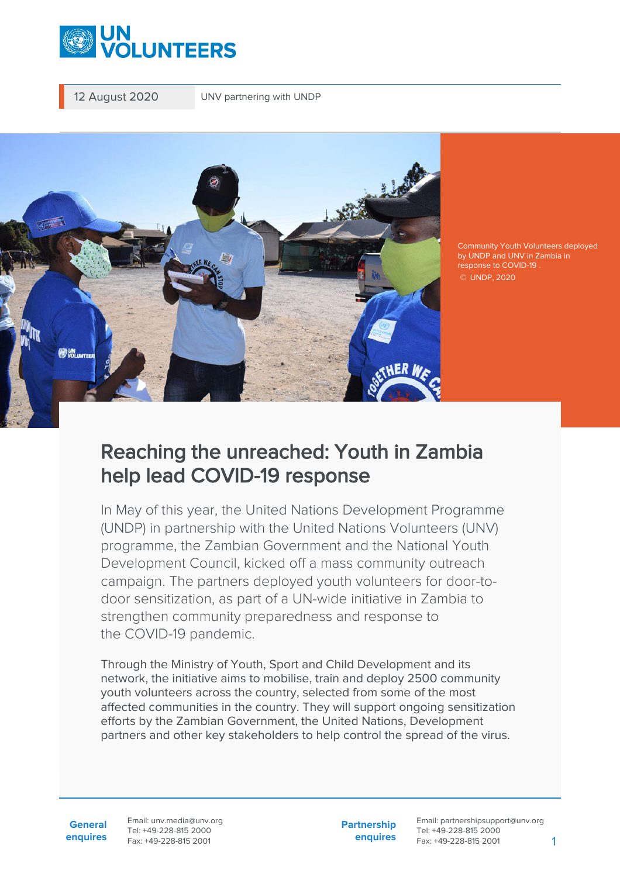

12 August 2020 UNV partnering with UNDP



Community Youth Volunteers deployed by UNDP and UNV in Zambia in response to COVID-19 . © UNDP, 2020

## Reaching the unreached: Youth in Zambia help lead COVID-19 response

In May of this year, the United Nations Development Programme (UNDP) in partnership with the United Nations Volunteers (UNV) programme, the Zambian Government and the National Youth Development Council, kicked off a mass community outreach campaign. The partners deployed youth volunteers for door-todoor sensitization, as part of a UN-wide initiative in Zambia to strengthen community preparedness and response to the COVID-19 pandemic.

Through the Ministry of Youth, Sport and Child Development and its network, the initiative aims to mobilise, train and deploy 2500 community youth volunteers across the country, selected from some of the most affected communities in the country. They will support ongoing sensitization efforts by the Zambian Government, the United Nations, Development partners and other key stakeholders to help control the spread of the virus.

**General enquires** Email: unv.media@unv.org Tel: +49-228-815 2000 Fax: +49-228-815 2001

**Partnership enquires**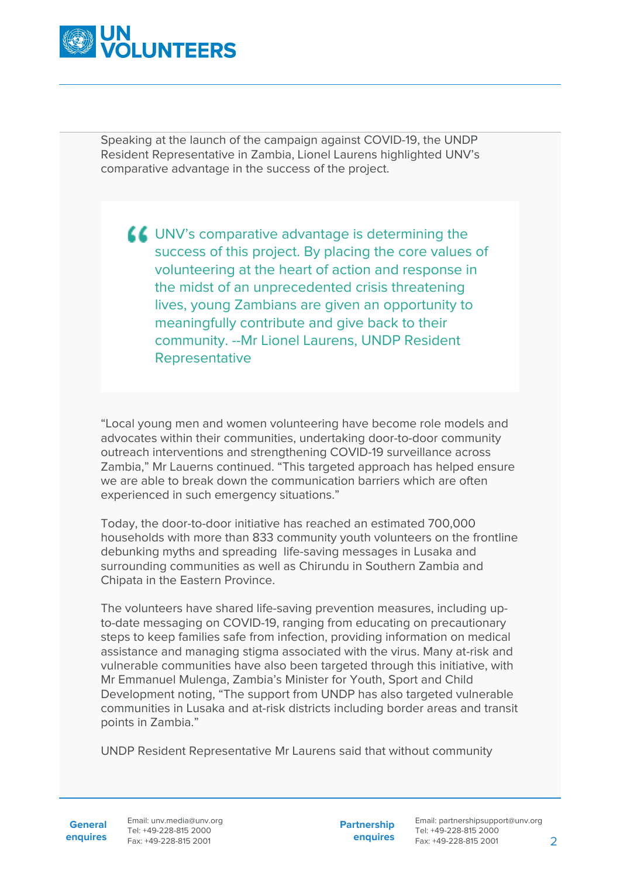

Speaking at the launch of the campaign against COVID-19, the UNDP Resident Representative in Zambia, Lionel Laurens highlighted UNV's comparative advantage in the success of the project.

UNV's comparative advantage is determining the success of this project. By placing the core values of volunteering at the heart of action and response in the midst of an unprecedented crisis threatening lives, young Zambians are given an opportunity to meaningfully contribute and give back to their community. --Mr Lionel Laurens, UNDP Resident Representative

"Local young men and women volunteering have become role models and advocates within their communities, undertaking door-to-door community outreach interventions and strengthening COVID-19 surveillance across Zambia," Mr Lauerns continued. "This targeted approach has helped ensure we are able to break down the communication barriers which are often experienced in such emergency situations."

Today, the door-to-door initiative has reached an estimated 700,000 households with more than 833 community youth volunteers on the frontline debunking myths and spreading life-saving messages in Lusaka and surrounding communities as well as Chirundu in Southern Zambia and Chipata in the Eastern Province.

The volunteers have shared life-saving prevention measures, including upto-date messaging on COVID-19, ranging from educating on precautionary steps to keep families safe from infection, providing information on medical assistance and managing stigma associated with the virus. Many at-risk and vulnerable communities have also been targeted through this initiative, with Mr Emmanuel Mulenga, Zambia's Minister for Youth, Sport and Child Development noting, "The support from UNDP has also targeted vulnerable communities in Lusaka and at-risk districts including border areas and transit points in Zambia."

UNDP Resident Representative Mr Laurens said that without community

**General**

**enquires** Fax: +49-228-815 2001 Email: unv.media@unv.org Tel: +49-228-815 2000

**Partnership enquires**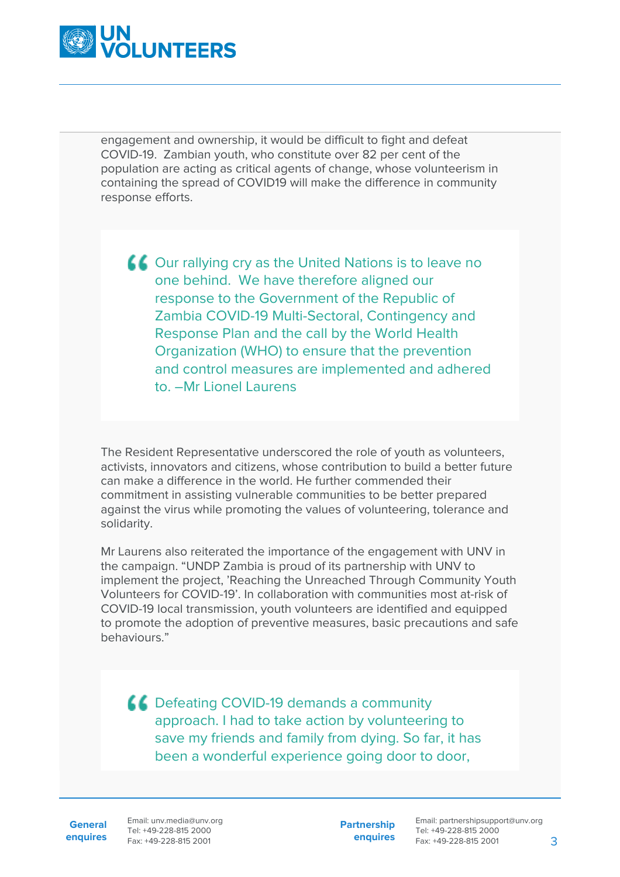

engagement and ownership, it would be difficult to fight and defeat COVID-19. Zambian youth, who constitute over 82 per cent of the population are acting as critical agents of change, whose volunteerism in containing the spread of COVID19 will make the difference in community response efforts.

**COUT rallying cry as the United Nations is to leave no** one behind. We have therefore aligned our response to the Government of the Republic of Zambia COVID-19 Multi-Sectoral, Contingency and Response Plan and the call by the World Health Organization (WHO) to ensure that the prevention and control measures are implemented and adhered to. –Mr Lionel Laurens

The Resident Representative underscored the role of youth as volunteers, activists, innovators and citizens, whose contribution to build a better future can make a difference in the world. He further commended their commitment in assisting vulnerable communities to be better prepared against the virus while promoting the values of volunteering, tolerance and solidarity.

Mr Laurens also reiterated the importance of the engagement with UNV in the campaign. "UNDP Zambia is proud of its partnership with UNV to implement the project, 'Reaching the Unreached Through Community Youth Volunteers for COVID-19'. In collaboration with communities most at-risk of COVID-19 local transmission, youth volunteers are identified and equipped to promote the adoption of preventive measures, basic precautions and safe behaviours."

**CC** Defeating COVID-19 demands a community approach. I had to take action by volunteering to save my friends and family from dying. So far, it has been a wonderful experience going door to door,

**General**

**enquires** Fax: +49-228-815 2001 Email: unv.media@unv.org Tel: +49-228-815 2000

**Partnership enquires**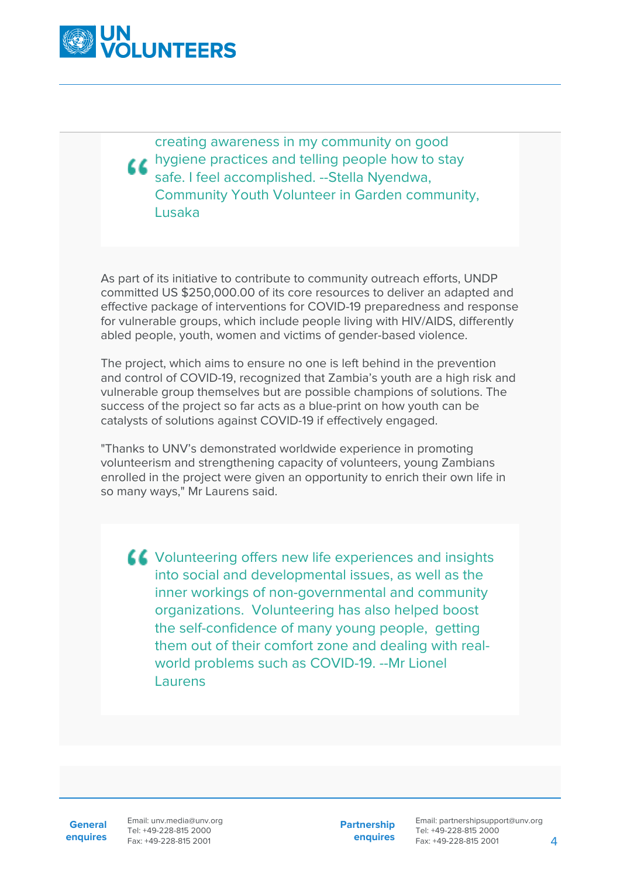

creating awareness in my community on good **thygiene practices and telling people how to stay** safe. I feel accomplished. --Stella Nyendwa, Community Youth Volunteer in Garden community, Lusaka

As part of its initiative to contribute to community outreach efforts, UNDP committed US \$250,000.00 of its core resources to deliver an adapted and effective package of interventions for COVID-19 preparedness and response for vulnerable groups, which include people living with HIV/AIDS, differently abled people, youth, women and victims of gender-based violence.

The project, which aims to ensure no one is left behind in the prevention and control of COVID-19, recognized that Zambia's youth are a high risk and vulnerable group themselves but are possible champions of solutions. The success of the project so far acts as a blue-print on how youth can be catalysts of solutions against COVID-19 if effectively engaged.

"Thanks to UNV's demonstrated worldwide experience in promoting volunteerism and strengthening capacity of volunteers, young Zambians enrolled in the project were given an opportunity to enrich their own life in so many ways," Mr Laurens said.

LL Volunteering offers new life experiences and insights into social and developmental issues, as well as the inner workings of non-governmental and community organizations. Volunteering has also helped boost the self-confidence of many young people, getting them out of their comfort zone and dealing with realworld problems such as COVID-19. --Mr Lionel Laurens

**General**

**enquires** Tel: +49-228-815 2000 Fax: +49-228-815 2001 Email: unv.media@unv.org<br>Tel: +49-228-815 2000

**Partnership enquires**